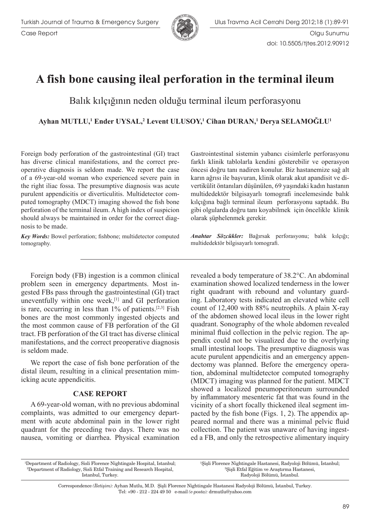



## **A fish bone causing ileal perforation in the terminal ileum**

Balık kılçığının neden olduğu terminal ileum perforasyonu

 $\bf A$ yhan MUTLU,<sup>1</sup> Ender UYSAL,<sup>2</sup> Levent ULUSOY,<sup>1</sup> Cihan DURAN,<sup>1</sup> Derya SELAMOĞLU<sup>1</sup>

Foreign body perforation of the gastrointestinal (GI) tract has diverse clinical manifestations, and the correct preoperative diagnosis is seldom made. We report the case of a 69-year-old woman who experienced severe pain in the right iliac fossa. The presumptive diagnosis was acute purulent appendicitis or diverticulitis. Multidetector computed tomography (MDCT) imaging showed the fish bone perforation of the terminal ileum. A high index of suspicion should always be maintained in order for the correct diagnosis to be made.

*Key Words:* Bowel perforation; fishbone; multidetector computed tomography.

Foreign body (FB) ingestion is a common clinical problem seen in emergency departments. Most ingested FBs pass through the gastrointestinal (GI) tract uneventfully within one week,<sup>[1]</sup> and GI perforation is rare, occurring in less than  $1\%$  of patients.<sup>[2,3]</sup> Fish bones are the most commonly ingested objects and the most common cause of FB perforation of the GI tract. FB perforation of the GI tract has diverse clinical manifestations, and the correct preoperative diagnosis is seldom made.

We report the case of fish bone perforation of the distal ileum, resulting in a clinical presentation mimicking acute appendicitis.

## **CASE REPORT**

A 69-year-old woman, with no previous abdominal complaints, was admitted to our emergency department with acute abdominal pain in the lower right quadrant for the preceding two days. There was no nausea, vomiting or diarrhea. Physical examination Gastrointestinal sistemin yabancı cisimlerle perforasyonu farklı klinik tablolarla kendini gösterebilir ve operasyon öncesi doğru tanı nadiren konulur. Biz hastanemize sağ alt karın ağrısı ile başvuran, klinik olarak akut apandisit ve divertikülit öntanıları düşünülen, 69 yaşındaki kadın hastanın multidedektör bilgisayarlı tomografi incelemesinde balık kılçığına bağlı terminal ileum perforasyonu saptadık. Bu gibi olgularda doğru tanı koyabilmek için öncelikle klinik olarak şüphelenmek gerekir.

*Anahtar Sözcükler:* Bağırsak perforasyonu; balık kılçığı; multidedektör bilgisayarlı tomografi.

revealed a body temperature of 38.2°C. An abdominal examination showed localized tenderness in the lower right quadrant with rebound and voluntary guarding. Laboratory tests indicated an elevated white cell count of 12,400 with 88% neutrophils. A plain X-ray of the abdomen showed local ileus in the lower right quadrant. Sonography of the whole abdomen revealed minimal fluid collection in the pelvic region. The appendix could not be visualized due to the overlying small intestinal loops. The presumptive diagnosis was acute purulent appendicitis and an emergency appendectomy was planned. Before the emergency operation, abdominal multidetector computed tomography (MDCT) imaging was planned for the patient. MDCT showed a localized pneumoperitoneum surrounded by inflammatory mesenteric fat that was found in the vicinity of a short focally thickened ileal segment impacted by the fish bone (Figs. 1, 2). The appendix appeared normal and there was a minimal pelvic fluid collection. The patient was unaware of having ingested a FB, and only the retrospective alimentary inquiry

| <sup>1</sup> Department of Radiology, Sisli Florence Nightingale Hospital, Istanbul; | <sup>1</sup> Sişli Florence Nightingale Hastanesi, Radyoloji Bölümü, İstanbul; |
|--------------------------------------------------------------------------------------|--------------------------------------------------------------------------------|
| <sup>2</sup> Department of Radiology, Sisli Etfal Training and Research Hospital,    | <sup>2</sup> Sisli Etfal Eğitim ve Arastırma Hastanesi,                        |
| Istanbul, Turkey.                                                                    | Radyoloji Bölümü, İstanbul.                                                    |
|                                                                                      |                                                                                |

Correspondence (İletişim): Ayhan Mutlu, M.D. Şişli Florence Nightingale Hastanesi Radyoloji Bölümü, İstanbul, Turkey. Tel: +90 - 212 - 224 49 50 e-mail (e-posta): drmutlu@yahoo.com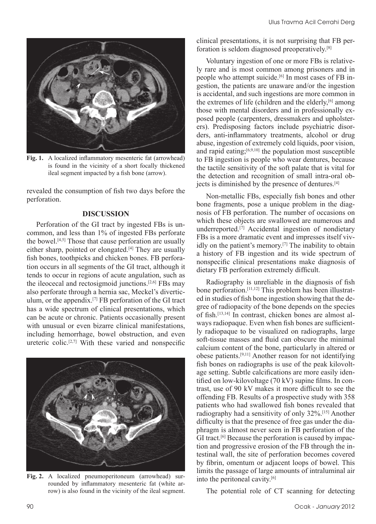

**Fig. 1.** A localized inflammatory mesenteric fat (arrowhead) is found in the vicinity of a short focally thickened ileal segment impacted by a fish bone (arrow).

revealed the consumption of fish two days before the perforation.

## **DISCUSSION**

Perforation of the GI tract by ingested FBs is uncommon, and less than 1% of ingested FBs perforate the bowel.<sup>[4,5]</sup> Those that cause perforation are usually either sharp, pointed or elongated.<sup>[4]</sup> They are usually fish bones, toothpicks and chicken bones. FB perforation occurs in all segments of the GI tract, although it tends to occur in regions of acute angulation, such as the ileocecal and rectosigmoid junctions.[2,6] FBs may also perforate through a hernia sac, Meckel's diverticulum, or the appendix.[7] FB perforation of the GI tract has a wide spectrum of clinical presentations, which can be acute or chronic. Patients occasionally present with unusual or even bizarre clinical manifestations, including hemorrhage, bowel obstruction, and even ureteric colic.<sup>[2,7]</sup> With these varied and nonspecific



**Fig. 2.** A localized pneumoperitoneum (arrowhead) surrounded by inflammatory mesenteric fat (white arrow) is also found in the vicinity of the ileal segment.

clinical presentations, it is not surprising that FB perforation is seldom diagnosed preoperatively.[8]

Voluntary ingestion of one or more FBs is relatively rare and is most common among prisoners and in people who attempt suicide.[6] In most cases of FB ingestion, the patients are unaware and/or the ingestion is accidental, and such ingestions are more common in the extremes of life (children and the elderly, $[6]$  among those with mental disorders and in professionally exposed people (carpenters, dressmakers and upholsterers). Predisposing factors include psychiatric disorders, anti-inflammatory treatments, alcohol or drug abuse, ingestion of extremely cold liquids, poor vision, and rapid eating; $[6,9,10]$  the population most susceptible to FB ingestion is people who wear dentures, because the tactile sensitivity of the soft palate that is vital for the detection and recognition of small intra-oral objects is diminished by the presence of dentures.<sup>[4]</sup>

Non-metallic FBs, especially fish bones and other bone fragments, pose a unique problem in the diagnosis of FB perforation. The number of occasions on which these objects are swallowed are numerous and underreported.<sup>[7]</sup> Accidental ingestion of nondietary FBs is a more dramatic event and impresses itself vividly on the patient's memory.[7] The inability to obtain a history of FB ingestion and its wide spectrum of nonspecific clinical presentations make diagnosis of dietary FB perforation extremely difficult.

Radiography is unreliable in the diagnosis of fish bone perforation.[11,12] This problem has been illustrated in studies of fish bone ingestion showing that the degree of radiopacity of the bone depends on the species of fish.[13,14] In contrast, chicken bones are almost always radiopaque. Even when fish bones are sufficiently radiopaque to be visualized on radiographs, large soft-tissue masses and fluid can obscure the minimal calcium content of the bone, particularly in altered or obese patients.[9,11] Another reason for not identifying fish bones on radiographs is use of the peak kilovoltage setting. Subtle calcifications are more easily identified on low-kilovoltage (70 kV) supine films. In contrast, use of 90 kV makes it more difficult to see the offending FB. Results of a prospective study with 358 patients who had swallowed fish bones revealed that radiography had a sensitivity of only 32%.[15] Another difficulty is that the presence of free gas under the diaphragm is almost never seen in FB perforation of the GI tract.<sup>[6]</sup> Because the perforation is caused by impaction and progressive erosion of the FB through the intestinal wall, the site of perforation becomes covered by fibrin, omentum or adjacent loops of bowel. This limits the passage of large amounts of intraluminal air into the peritoneal cavity.[6]

The potential role of CT scanning for detecting